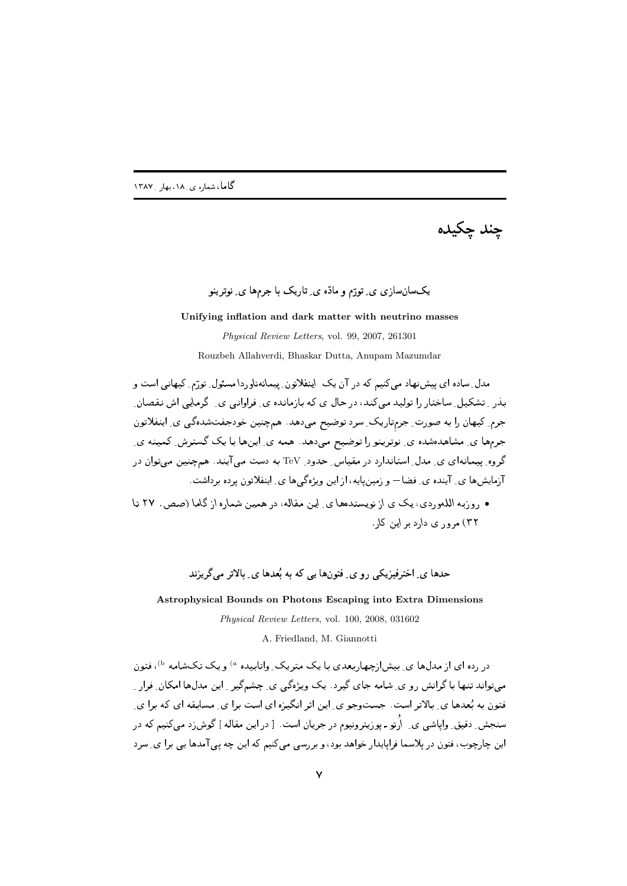چند چکيده

## $\frac{1}{2}$  ,  $\frac{1}{2}$  ,  $\frac{1}{2}$  ,  $\frac{1}{2}$  ,  $\frac{1}{2}$  ,  $\frac{1}{2}$  ,  $\frac{1}{2}$  ,  $\frac{1}{2}$  ,  $\frac{1}{2}$  ,  $\frac{1}{2}$

#### **Unifying inflation and dark matter with neutrino masses**

*Physical Review Letters*, vol. 99, 2007, 261301 Rouzbeh Allahverdi, Bhaskar Dutta, Anupam Mazumdar

مدل ِ ساده ای پیش:هاد میکنیم که در ان یک اینفلاتون ِ پیمانهناوردا مسئول ِ تورّم ِ کیهانی است و المستحدث المستحدث المستحدث المستحدث المستحدث المستحدث المستحدث المستحدث المستحدث المستحدث المستحدث المستحدث ال جرم ِ کیهان را به صورت ِ جرمٍتاریک ِ سرد توصیح میدهد. همچنین حودجفتشده کی ی ِ اینفلاتون . الاستخدام المستخدم المستخدم المستخدم المستخدم المستخدم المستخدم المستخدم المستخدم المستخدم المستخدم المستخدم گروه ِ پیمانهای ی ِ مدل ِ استاندارد در مقیاس ِ حدود ِ TeV به دست می ایند. همچنین میتوان در 2007 - 2008 - 2009 - 2009 - 2009 - 2009 - 2009 - 2009 - 2009 - 2009 - 2009 - 2009 - 2009 - 2009 - 2009 - 2009 -

• روزبه اللهوردي، يک ي از نويسندهها ي اين مقاله، در همين شماره از گاما (صص . ٢٧ تا ۳۲ ) مرور ی دارد بر این کار.

 ) - (/ 0 .#1 2 1! 

**Astrophysical Bounds on Photons Escaping into Extra Dimensions**

*Physical Review Letters*, vol. 100, 2008, 031602

A. Friedland, M. Giannotti

در رده ای از مدلها ی ِ بیش|زچهاربعدی با یک متریک ِ واتابیده <sup>۵</sup> و یک تکشامه <sup>(b</sup>، فتون # 0) = , !
1 " g9 ] - "+ . " 9#Q& % S &- "  % . D " . %3 "  % 2< " C 5&  s , " -+923+ 2<  K % " %n . % 0- سنجش ِ دقیق ِ واپاشی ی ِ \رتو ـ یو زیترونیوم در جریان است. [در این مقاله ] گوش(د می کنیم که در -< " % 6 .1 , .D !D <# % 9 --% -\* #  \$<( #- 0- O-1#1 ,